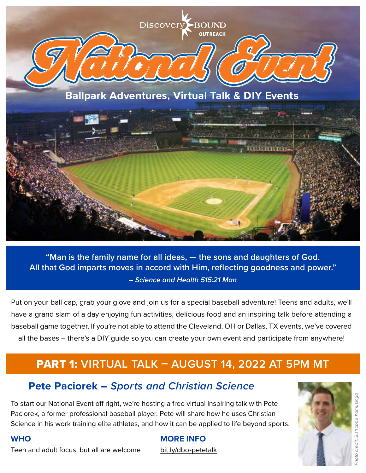

**"Man is the family name for all ideas, — the sons and daughters of God. All that God imparts moves in accord with Him, reflecting goodness and power."** *– Science and Health 515:21 Man*

Put on your ball cap, grab your glove and join us for a special baseball adventure! Teens and adults, we'll have a grand slam of a day enjoying fun activities, delicious food and an inspiring talk before attending a baseball game together. If you're not able to attend the Cleveland, OH or Dallas, TX events, we've covered all the bases – there's a DIY guide so you can create your own event and participate from anywhere!

### PART 1: **VIRTUAL TALK – AUGUST 14, 2022 AT 5PM MT**

#### **Pete Paciorek –** *Sports and Christian Science*

To start our National Event off right, we're hosting a free virtual inspiring talk with Pete Paciorek, a former professional baseball player. Pete will share how he uses Christian Science in his work training elite athletes, and how it can be applied to life beyond sports.

# oto credit: Bishoppe Kamusinga *Photo credit: Bishoppe Kamusinga*

#### **WHO**

Teen and adult focus, but all are welcome

#### **MORE INFO**

[bit.ly/dbo-petetalk](https://bit.ly/dbo-petetalkweb)